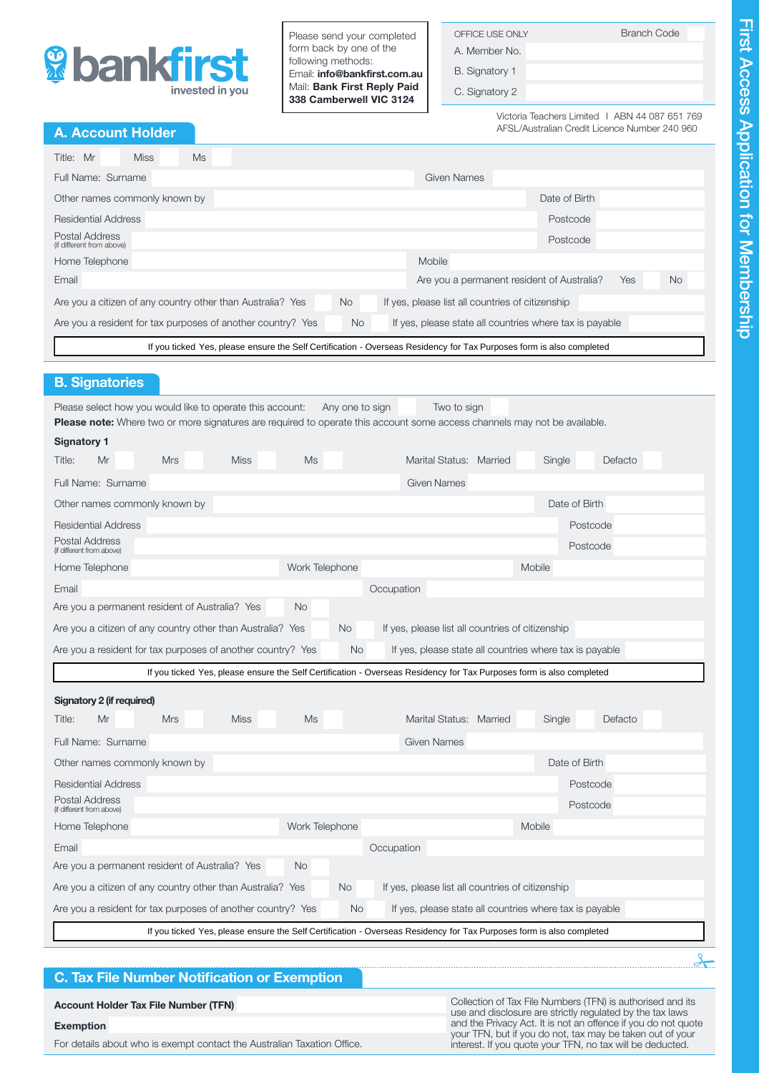

Please send your completed form back by one of the following methods: Email: info@bankfirst.com.au Mail: Bank First Reply Paid 338 Camberwell VIC 3124

| OFFICE USE ONLY |  |
|-----------------|--|
| A. Member No.   |  |

B. Signatory 1

C. Signatory 2

Victoria Teachers Limited I ABN 44 087 651 769 AFSL/Australian Credit Licence Number 240 960

**Branch Code** 

# A. Account Holder

| <b>Miss</b><br>Ms<br>Title: Mr                                                                                                      |           |                                                  |                                            |            |           |  |
|-------------------------------------------------------------------------------------------------------------------------------------|-----------|--------------------------------------------------|--------------------------------------------|------------|-----------|--|
| Full Name: Surname                                                                                                                  |           | Given Names                                      |                                            |            |           |  |
| Other names commonly known by                                                                                                       |           |                                                  | Date of Birth                              |            |           |  |
| Residential Address                                                                                                                 |           |                                                  | Postcode                                   |            |           |  |
| Postal Address<br>(if different from above)                                                                                         |           |                                                  | Postcode                                   |            |           |  |
| Home Telephone                                                                                                                      |           | Mobile                                           |                                            |            |           |  |
| Email                                                                                                                               |           |                                                  | Are you a permanent resident of Australia? | <b>Yes</b> | <b>No</b> |  |
| Are you a citizen of any country other than Australia? Yes                                                                          | <b>No</b> | If yes, please list all countries of citizenship |                                            |            |           |  |
| If yes, please state all countries where tax is payable<br>Are you a resident for tax purposes of another country? Yes<br><b>No</b> |           |                                                  |                                            |            |           |  |
| If you ticked Yes, please ensure the Self Certification - Overseas Residency for Tax Purposes form is also completed                |           |                                                  |                                            |            |           |  |

# B. Signatories

| Please select how you would like to operate this account:                                                                | Any one to sign | Two to sign |
|--------------------------------------------------------------------------------------------------------------------------|-----------------|-------------|
| ™La construit d'Albana d'an an an an alba de la caractería de la característica de la característica de la característic |                 |             |

| If you ticked Yes, please ensure the Self Certification - Overseas Residency for Tax Purposes form is also completed                                                                          |                                                                                                                      |             |                |                 |            |                                                         |  |        |               |          |  |
|-----------------------------------------------------------------------------------------------------------------------------------------------------------------------------------------------|----------------------------------------------------------------------------------------------------------------------|-------------|----------------|-----------------|------------|---------------------------------------------------------|--|--------|---------------|----------|--|
| <b>B. Signatories</b>                                                                                                                                                                         |                                                                                                                      |             |                |                 |            |                                                         |  |        |               |          |  |
|                                                                                                                                                                                               |                                                                                                                      |             |                |                 |            |                                                         |  |        |               |          |  |
| Please select how you would like to operate this account:<br><b>Please note:</b> Where two or more signatures are required to operate this account some access channels may not be available. |                                                                                                                      |             |                | Any one to sign |            | Two to sign                                             |  |        |               |          |  |
| <b>Signatory 1</b>                                                                                                                                                                            |                                                                                                                      |             |                |                 |            |                                                         |  |        |               |          |  |
| Title:<br>Mr                                                                                                                                                                                  | <b>Mrs</b>                                                                                                           | <b>Miss</b> | <b>Ms</b>      |                 |            | Marital Status: Married                                 |  | Single |               | Defacto  |  |
| Full Name: Surname                                                                                                                                                                            |                                                                                                                      |             |                |                 |            | <b>Given Names</b>                                      |  |        |               |          |  |
| Other names commonly known by                                                                                                                                                                 |                                                                                                                      |             |                |                 |            |                                                         |  |        | Date of Birth |          |  |
| <b>Residential Address</b>                                                                                                                                                                    |                                                                                                                      |             |                |                 |            |                                                         |  |        |               | Postcode |  |
| Postal Address<br>(if different from above)                                                                                                                                                   |                                                                                                                      |             |                |                 |            |                                                         |  |        | Postcode      |          |  |
| Home Telephone                                                                                                                                                                                |                                                                                                                      |             | Work Telephone |                 |            |                                                         |  | Mobile |               |          |  |
| Email                                                                                                                                                                                         |                                                                                                                      |             |                |                 | Occupation |                                                         |  |        |               |          |  |
| Are you a permanent resident of Australia? Yes                                                                                                                                                |                                                                                                                      |             | No.            |                 |            |                                                         |  |        |               |          |  |
| Are you a citizen of any country other than Australia? Yes                                                                                                                                    |                                                                                                                      |             |                | No.             |            | If yes, please list all countries of citizenship        |  |        |               |          |  |
| Are you a resident for tax purposes of another country? Yes                                                                                                                                   |                                                                                                                      |             |                | No.             |            | If yes, please state all countries where tax is payable |  |        |               |          |  |
|                                                                                                                                                                                               | If you ticked Yes, please ensure the Self Certification - Overseas Residency for Tax Purposes form is also completed |             |                |                 |            |                                                         |  |        |               |          |  |
| Signatory 2 (if required)                                                                                                                                                                     |                                                                                                                      |             |                |                 |            |                                                         |  |        |               |          |  |
| Mr<br>Title:                                                                                                                                                                                  | <b>Mrs</b>                                                                                                           | <b>Miss</b> | <b>Ms</b>      |                 |            | Marital Status: Married                                 |  | Single |               | Defacto  |  |
| Full Name: Surname                                                                                                                                                                            |                                                                                                                      |             |                |                 |            | <b>Given Names</b>                                      |  |        |               |          |  |
| Other names commonly known by                                                                                                                                                                 |                                                                                                                      |             |                |                 |            |                                                         |  |        | Date of Birth |          |  |
| <b>Residential Address</b>                                                                                                                                                                    |                                                                                                                      |             |                |                 |            |                                                         |  |        |               | Postcode |  |
| Postal Address<br>(if different from above)                                                                                                                                                   |                                                                                                                      |             |                |                 |            |                                                         |  |        | Postcode      |          |  |
| Home Telephone                                                                                                                                                                                | Work Telephone<br>Mobile                                                                                             |             |                |                 |            |                                                         |  |        |               |          |  |
| Email                                                                                                                                                                                         |                                                                                                                      |             |                |                 | Occupation |                                                         |  |        |               |          |  |
| Are you a permanent resident of Australia? Yes                                                                                                                                                |                                                                                                                      |             | <b>No</b>      |                 |            |                                                         |  |        |               |          |  |
| Are you a citizen of any country other than Australia? Yes                                                                                                                                    |                                                                                                                      |             |                | <b>No</b>       |            | If yes, please list all countries of citizenship        |  |        |               |          |  |
| Are you a resident for tax purposes of another country? Yes                                                                                                                                   |                                                                                                                      |             |                | No              |            | If yes, please state all countries where tax is payable |  |        |               |          |  |
|                                                                                                                                                                                               | If you ticked Yes, please ensure the Self Certification - Overseas Residency for Tax Purposes form is also completed |             |                |                 |            |                                                         |  |        |               |          |  |

If you ticked Yes, please ensure the Self Certification - Overseas Residency for Tax Purposes form is also completed

# C. Tax File Number Notification or Exemption

| <b>Account Holder Tax File Number (TFN)</b>                             | Collection of Tax File Numbers (TFN) is authorised and its<br>use and disclosure are strictly regulated by the tax laws |
|-------------------------------------------------------------------------|-------------------------------------------------------------------------------------------------------------------------|
| Exemption                                                               | and the Privacy Act. It is not an offence if you do not quote                                                           |
| For details about who is exempt contact the Australian Taxation Office. | your TFN, but if you do not, tax may be taken out of your<br>interest. If you quote your TFN, no tax will be deducted.  |

 $\frac{1}{2}$